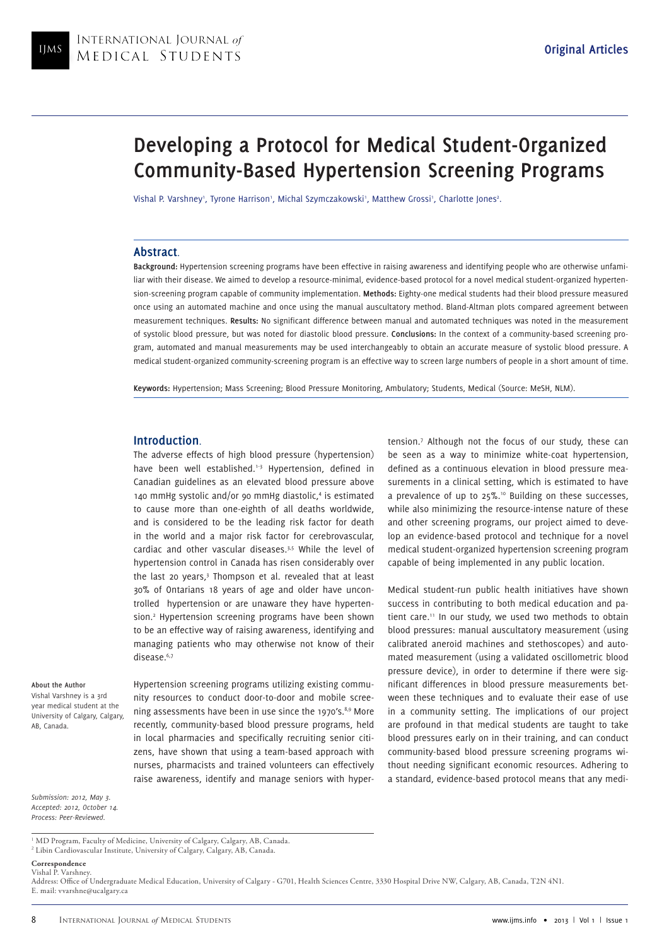# **Developing a Protocol for Medical Student-Organized Community-Based Hypertension Screening Programs**

Vishal P. Varshney', Tyrone Harrison', Michal Szymczakowski', Matthew Grossi', Charlotte Jones<sup>2</sup>.

## **Abstract**.

**Background:** Hypertension screening programs have been effective in raising awareness and identifying people who are otherwise unfamiliar with their disease. We aimed to develop a resource-minimal, evidence-based protocol for a novel medical student-organized hypertension-screening program capable of community implementation. **Methods:** Eighty-one medical students had their blood pressure measured once using an automated machine and once using the manual auscultatory method. Bland-Altman plots compared agreement between measurement techniques. **Results:** No significant difference between manual and automated techniques was noted in the measurement of systolic blood pressure, but was noted for diastolic blood pressure. **Conclusions:** In the context of a community-based screening program, automated and manual measurements may be used interchangeably to obtain an accurate measure of systolic blood pressure. A medical student-organized community-screening program is an effective way to screen large numbers of people in a short amount of time.

**Keywords:** Hypertension; Mass Screening; Blood Pressure Monitoring, Ambulatory; Students, Medical (Source: MeSH, NLM).

## **Introduction**.

The adverse effects of high blood pressure (hypertension) have been well established.<sup>1-3</sup> Hypertension, defined in Canadian guidelines as an elevated blood pressure above 140 mmHg systolic and/or 90 mmHg diastolic,<sup>4</sup> is estimated to cause more than one-eighth of all deaths worldwide, and is considered to be the leading risk factor for death in the world and a major risk factor for cerebrovascular, cardiac and other vascular diseases.3,5 While the level of hypertension control in Canada has risen considerably over the last 20 years,<sup>3</sup> Thompson et al. revealed that at least 30% of Ontarians 18 years of age and older have uncontrolled hypertension or are unaware they have hypertension.2 Hypertension screening programs have been shown to be an effective way of raising awareness, identifying and managing patients who may otherwise not know of their disease.6,7

**About the Author**

Vishal Varshney is a 3rd year medical student at the University of Calgary, Calgary, AB, Canada.

Hypertension screening programs utilizing existing community resources to conduct door-to-door and mobile screening assessments have been in use since the 1970's.<sup>8,9</sup> More recently, community-based blood pressure programs, held in local pharmacies and specifically recruiting senior citizens, have shown that using a team-based approach with nurses, pharmacists and trained volunteers can effectively raise awareness, identify and manage seniors with hyper-

tension.7 Although not the focus of our study, these can be seen as a way to minimize white-coat hypertension, defined as a continuous elevation in blood pressure measurements in a clinical setting, which is estimated to have a prevalence of up to 25%.10 Building on these successes, while also minimizing the resource-intense nature of these and other screening programs, our project aimed to develop an evidence-based protocol and technique for a novel medical student-organized hypertension screening program capable of being implemented in any public location.

Medical student-run public health initiatives have shown success in contributing to both medical education and patient care.<sup>11</sup> In our study, we used two methods to obtain blood pressures: manual auscultatory measurement (using calibrated aneroid machines and stethoscopes) and automated measurement (using a validated oscillometric blood pressure device), in order to determine if there were significant differences in blood pressure measurements between these techniques and to evaluate their ease of use in a community setting. The implications of our project are profound in that medical students are taught to take blood pressures early on in their training, and can conduct community-based blood pressure screening programs without needing significant economic resources. Adhering to a standard, evidence-based protocol means that any medi-

*Submission: 2012, May 3. Accepted: 2012, October 14. Process: Peer-Reviewed.*

1 MD Program, Faculty of Medicine, University of Calgary, Calgary, AB, Canada. 2 Libin Cardiovascular Institute, University of Calgary, Calgary, AB, Canada.

**Correspondence** Vishal P. Varshney.

Address: Office of Undergraduate Medical Education, University of Calgary - G701, Health Sciences Centre, 3330 Hospital Drive NW, Calgary, AB, Canada, T2N 4N1. E. mail: vvarshne@ucalgary.ca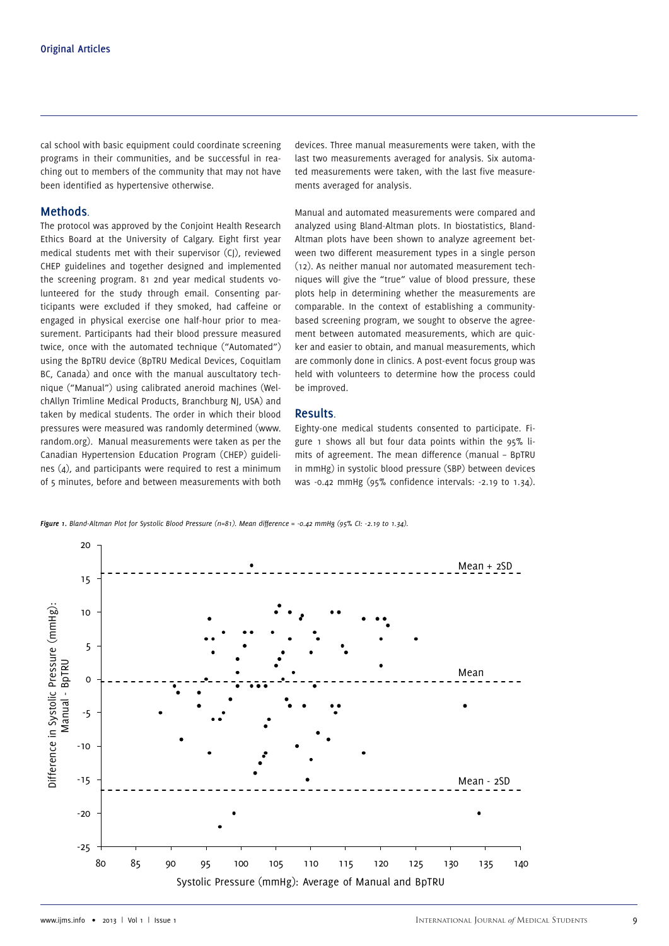cal school with basic equipment could coordinate screening programs in their communities, and be successful in reaching out to members of the community that may not have been identified as hypertensive otherwise.

# **Methods**.

The protocol was approved by the Conjoint Health Research Ethics Board at the University of Calgary. Eight first year medical students met with their supervisor (CJ), reviewed CHEP guidelines and together designed and implemented the screening program. 81 2nd year medical students volunteered for the study through email. Consenting participants were excluded if they smoked, had caffeine or engaged in physical exercise one half-hour prior to measurement. Participants had their blood pressure measured twice, once with the automated technique ("Automated") using the BpTRU device (BpTRU Medical Devices, Coquitlam BC, Canada) and once with the manual auscultatory technique ("Manual") using calibrated aneroid machines (WelchAllyn Trimline Medical Products, Branchburg NJ, USA) and taken by medical students. The order in which their blood pressures were measured was randomly determined (www. random.org). Manual measurements were taken as per the Canadian Hypertension Education Program (CHEP) guidelines (4), and participants were required to rest a minimum of 5 minutes, before and between measurements with both

devices. Three manual measurements were taken, with the last two measurements averaged for analysis. Six automated measurements were taken, with the last five measurements averaged for analysis.

Manual and automated measurements were compared and analyzed using Bland-Altman plots. In biostatistics, Bland-Altman plots have been shown to analyze agreement between two different measurement types in a single person (12). As neither manual nor automated measurement techniques will give the "true" value of blood pressure, these plots help in determining whether the measurements are comparable. In the context of establishing a communitybased screening program, we sought to observe the agreement between automated measurements, which are quicker and easier to obtain, and manual measurements, which are commonly done in clinics. A post-event focus group was held with volunteers to determine how the process could be improved.

## **Results**.

Eighty-one medical students consented to participate. Figure 1 shows all but four data points within the 95% limits of agreement. The mean difference (manual – BpTRU in mmHg) in systolic blood pressure (SBP) between devices was -0.42 mmHg (95% confidence intervals: -2.19 to 1.34).

*Figure 1. Bland-Altman Plot for Systolic Blood Pressure (n=81). Mean difference = -0.42 mmHg (95% CI: -2.19 to 1.34).*

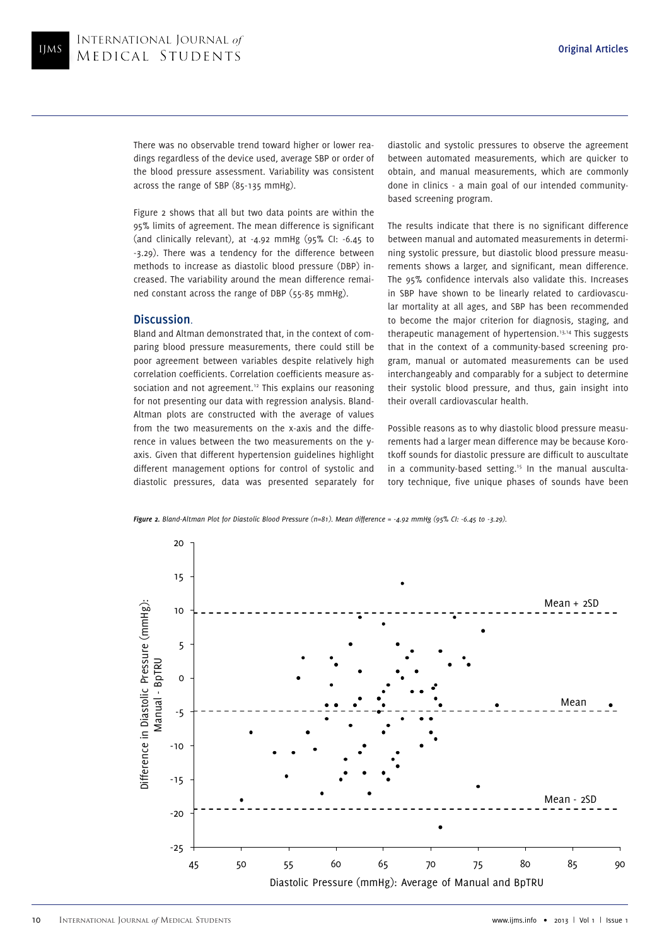There was no observable trend toward higher or lower readings regardless of the device used, average SBP or order of the blood pressure assessment. Variability was consistent across the range of SBP (85-135 mmHg).

Figure 2 shows that all but two data points are within the 95% limits of agreement. The mean difference is significant (and clinically relevant), at -4.92 mmHg (95% CI: -6.45 to -3.29). There was a tendency for the difference between methods to increase as diastolic blood pressure (DBP) increased. The variability around the mean difference remained constant across the range of DBP (55-85 mmHg).

# **Discussion**.

Bland and Altman demonstrated that, in the context of comparing blood pressure measurements, there could still be poor agreement between variables despite relatively high correlation coefficients. Correlation coefficients measure association and not agreement.<sup>12</sup> This explains our reasoning for not presenting our data with regression analysis. Bland-Altman plots are constructed with the average of values from the two measurements on the x-axis and the difference in values between the two measurements on the yaxis. Given that different hypertension guidelines highlight different management options for control of systolic and diastolic pressures, data was presented separately for diastolic and systolic pressures to observe the agreement between automated measurements, which are quicker to obtain, and manual measurements, which are commonly done in clinics - a main goal of our intended communitybased screening program.

The results indicate that there is no significant difference between manual and automated measurements in determining systolic pressure, but diastolic blood pressure measurements shows a larger, and significant, mean difference. The 95% confidence intervals also validate this. Increases in SBP have shown to be linearly related to cardiovascular mortality at all ages, and SBP has been recommended to become the major criterion for diagnosis, staging, and therapeutic management of hypertension.13,14 This suggests that in the context of a community-based screening program, manual or automated measurements can be used interchangeably and comparably for a subject to determine their systolic blood pressure, and thus, gain insight into their overall cardiovascular health.

Possible reasons as to why diastolic blood pressure measurements had a larger mean difference may be because Korotkoff sounds for diastolic pressure are difficult to auscultate in a community-based setting.<sup>15</sup> In the manual auscultatory technique, five unique phases of sounds have been

*Figure 2. Bland-Altman Plot for Diastolic Blood Pressure (n=81). Mean difference = -4.92 mmHg (95% CI: -6.45 to -3.29).*